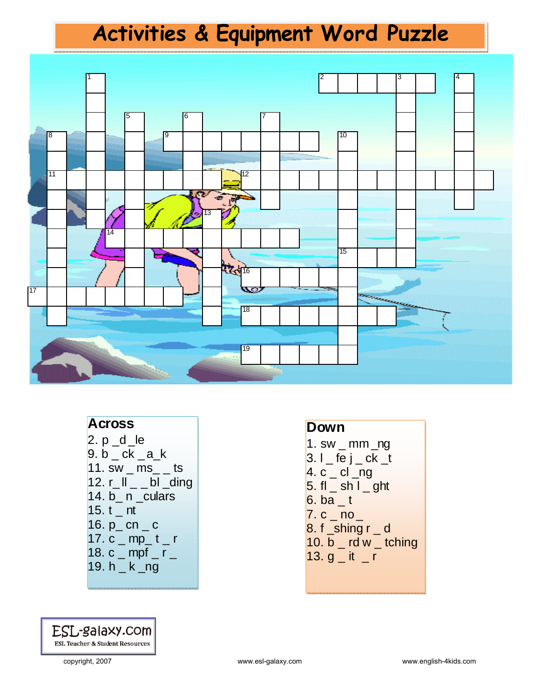## **Activities & Equipment Word Puzzle**



#### **Across**

 $2. p_d$  $9. b - ck - a_k$  $11.$  sw  $\_$  ms $\_$   $\_$  ts  $12. r$   $\vert \vert$   $\vert$   $\vert$   $\vert$  bl  $\vert$  ding 14. b\_ n \_culars 15.  $t$  nt 16.  $p_{}c n_{}c$ 17.  $c_{\text{m}}$  mp\_t \_ r 18. c  $\_$  mpf  $\_$  r  $\_$ 19. h \_ k \_ng



#### **Down**

 $1.$  sw  $\_$  mm  $\_$ ng  $3.1$   $-$  fe j  $-$  ck  $-$ t  $4. c$   $\_$  cl  $\_$ ng  $5.$  fl  $\_$  sh l  $\_$  ght  $6.$  ba  $\_$  t  $7. c$   $\overline{\phantom{0}}$  no  $\overline{\phantom{0}}$  $8. f$  \_shing  $r_d$  $10. b$  \_ rd w \_ tching 13.  $q$   $-$  it  $-$  r